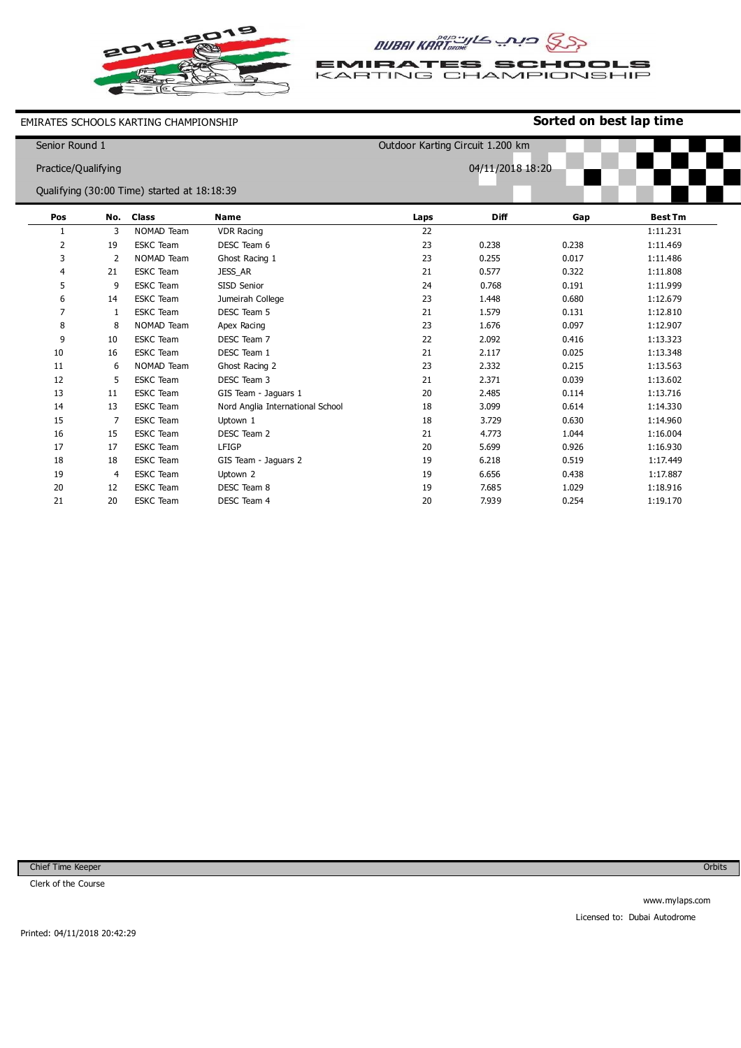

AUBAI KART

**EMIRATES SCHOOLS**<br>KARTING CHAMPIONSHIP

EMIRATES SCHOOLS KARTING CHAMPIONSHIP

## **Sorted on best lap time**

| Senior Round 1      |    |                                             |                                  | Outdoor Karting Circuit 1.200 km |             |       |                |  |
|---------------------|----|---------------------------------------------|----------------------------------|----------------------------------|-------------|-------|----------------|--|
| Practice/Qualifying |    |                                             |                                  | 04/11/2018 18:20                 |             |       |                |  |
|                     |    |                                             |                                  |                                  |             |       |                |  |
|                     |    | Qualifying (30:00 Time) started at 18:18:39 |                                  |                                  |             |       |                |  |
| Pos                 |    | No. Class                                   | <b>Name</b>                      | Laps                             | <b>Diff</b> | Gap   | <b>Best Tm</b> |  |
| 1                   | 3  | NOMAD Team                                  | <b>VDR Racing</b>                | 22                               |             |       | 1:11.231       |  |
| 2                   | 19 | <b>ESKC</b> Team                            | DESC Team 6                      | 23                               | 0.238       | 0.238 | 1:11.469       |  |
| 3                   | 2  | NOMAD Team                                  | Ghost Racing 1                   | 23                               | 0.255       | 0.017 | 1:11.486       |  |
| 4                   | 21 | <b>ESKC</b> Team                            | JESS_AR                          | 21                               | 0.577       | 0.322 | 1:11.808       |  |
| 5                   | 9  | <b>ESKC</b> Team                            | SISD Senior                      | 24                               | 0.768       | 0.191 | 1:11.999       |  |
| 6                   | 14 | <b>ESKC</b> Team                            | Jumeirah College                 | 23                               | 1.448       | 0.680 | 1:12.679       |  |
| $\overline{7}$      | 1  | <b>ESKC</b> Team                            | DESC Team 5                      | 21                               | 1.579       | 0.131 | 1:12.810       |  |
| 8                   | 8  | NOMAD Team                                  | Apex Racing                      | 23                               | 1.676       | 0.097 | 1:12.907       |  |
| 9                   | 10 | <b>ESKC</b> Team                            | DESC Team 7                      | 22                               | 2.092       | 0.416 | 1:13.323       |  |
| 10                  | 16 | <b>ESKC</b> Team                            | DESC Team 1                      | 21                               | 2.117       | 0.025 | 1:13.348       |  |
| 11                  | 6  | NOMAD Team                                  | Ghost Racing 2                   | 23                               | 2.332       | 0.215 | 1:13.563       |  |
| 12                  | 5  | <b>ESKC</b> Team                            | DESC Team 3                      | 21                               | 2.371       | 0.039 | 1:13.602       |  |
| 13                  | 11 | <b>ESKC</b> Team                            | GIS Team - Jaguars 1             | 20                               | 2.485       | 0.114 | 1:13.716       |  |
| 14                  | 13 | <b>ESKC</b> Team                            | Nord Anglia International School | 18                               | 3.099       | 0.614 | 1:14.330       |  |
| 15                  | 7  | <b>ESKC</b> Team                            | Uptown 1                         | 18                               | 3.729       | 0.630 | 1:14.960       |  |
| 16                  | 15 | <b>ESKC</b> Team                            | DESC Team 2                      | 21                               | 4.773       | 1.044 | 1:16.004       |  |
| 17                  | 17 | <b>ESKC</b> Team                            | LFIGP                            | 20                               | 5.699       | 0.926 | 1:16.930       |  |
| 18                  | 18 | <b>ESKC</b> Team                            | GIS Team - Jaguars 2             | 19                               | 6.218       | 0.519 | 1:17.449       |  |
| 19                  | 4  | <b>ESKC</b> Team                            | Uptown 2                         | 19                               | 6.656       | 0.438 | 1:17.887       |  |
| 20                  | 12 | <b>ESKC</b> Team                            | DESC Team 8                      | 19                               | 7.685       | 1.029 | 1:18.916       |  |
| 21                  | 20 | <b>ESKC</b> Team                            | DESC Team 4                      | 20                               | 7.939       | 0.254 | 1:19.170       |  |

Chief Time Keeper

Clerk of the Course

**Orbits**